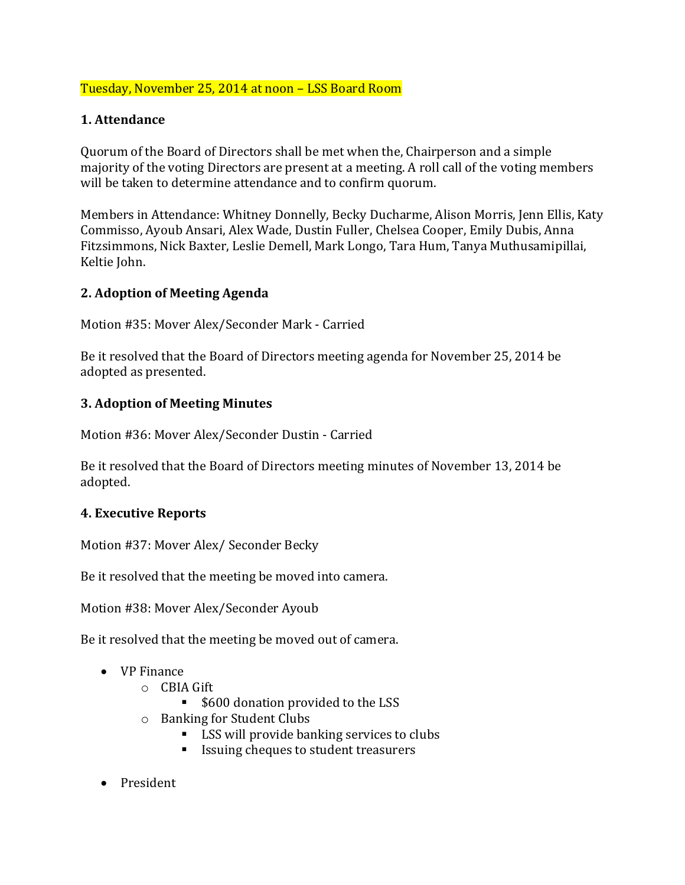## Tuesday, November 25, 2014 at noon – LSS Board Room

### **1. Attendance**

Quorum of the Board of Directors shall be met when the, Chairperson and a simple majority of the voting Directors are present at a meeting. A roll call of the voting members will be taken to determine attendance and to confirm quorum.

Members in Attendance: Whitney Donnelly, Becky Ducharme, Alison Morris, Jenn Ellis, Katy Commisso, Ayoub Ansari, Alex Wade, Dustin Fuller, Chelsea Cooper, Emily Dubis, Anna Fitzsimmons, Nick Baxter, Leslie Demell, Mark Longo, Tara Hum, Tanya Muthusamipillai, Keltie John.

#### **2. Adoption of Meeting Agenda**

Motion #35: Mover Alex/Seconder Mark - Carried

Be it resolved that the Board of Directors meeting agenda for November 25, 2014 be adopted as presented.

## **3. Adoption of Meeting Minutes**

Motion #36: Mover Alex/Seconder Dustin - Carried

Be it resolved that the Board of Directors meeting minutes of November 13, 2014 be adopted.

#### **4. Executive Reports**

Motion #37: Mover Alex/ Seconder Becky

Be it resolved that the meeting be moved into camera.

Motion #38: Mover Alex/Seconder Ayoub

Be it resolved that the meeting be moved out of camera.

- VP Finance
	- o CBIA Gift
		- \$600 donation provided to the LSS
	- o Banking for Student Clubs
		- LSS will provide banking services to clubs
		- Issuing cheques to student treasurers
- President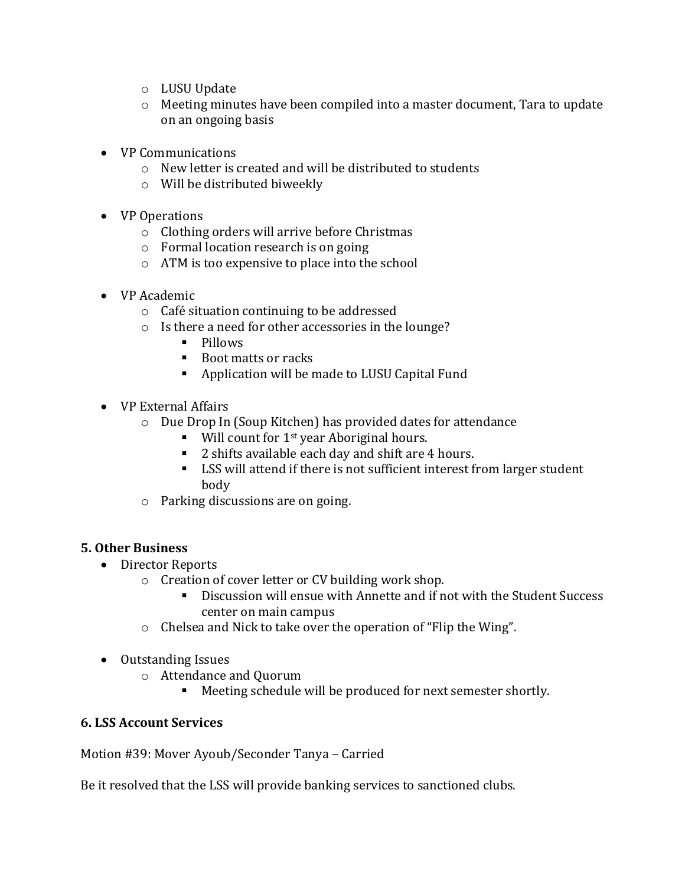- o LUSU Update
- o Meeting minutes have been compiled into a master document, Tara to update on an ongoing basis
- VP Communications
	- o New letter is created and will be distributed to students
	- o Will be distributed biweekly
- VP Operations
	- o Clothing orders will arrive before Christmas
	- o Formal location research is on going
	- o ATM is too expensive to place into the school
- VP Academic
	- o Café situation continuing to be addressed
	- o Is there a need for other accessories in the lounge?
		- Pillows
		- Boot matts or racks
		- Application will be made to LUSU Capital Fund
- VP External Affairs
	- o Due Drop In (Soup Kitchen) has provided dates for attendance
		- Will count for  $1^{st}$  year Aboriginal hours.
		- 2 shifts available each day and shift are 4 hours.
		- LSS will attend if there is not sufficient interest from larger student body
	- o Parking discussions are on going.

#### **5. Other Business**

- Director Reports
	- o Creation of cover letter or CV building work shop.
		- Discussion will ensue with Annette and if not with the Student Success center on main campus
	- o Chelsea and Nick to take over the operation of "Flip the Wing".
- Outstanding Issues
	- o Attendance and Quorum
		- Meeting schedule will be produced for next semester shortly.

#### **6. LSS Account Services**

Motion #39: Mover Ayoub/Seconder Tanya – Carried

Be it resolved that the LSS will provide banking services to sanctioned clubs.